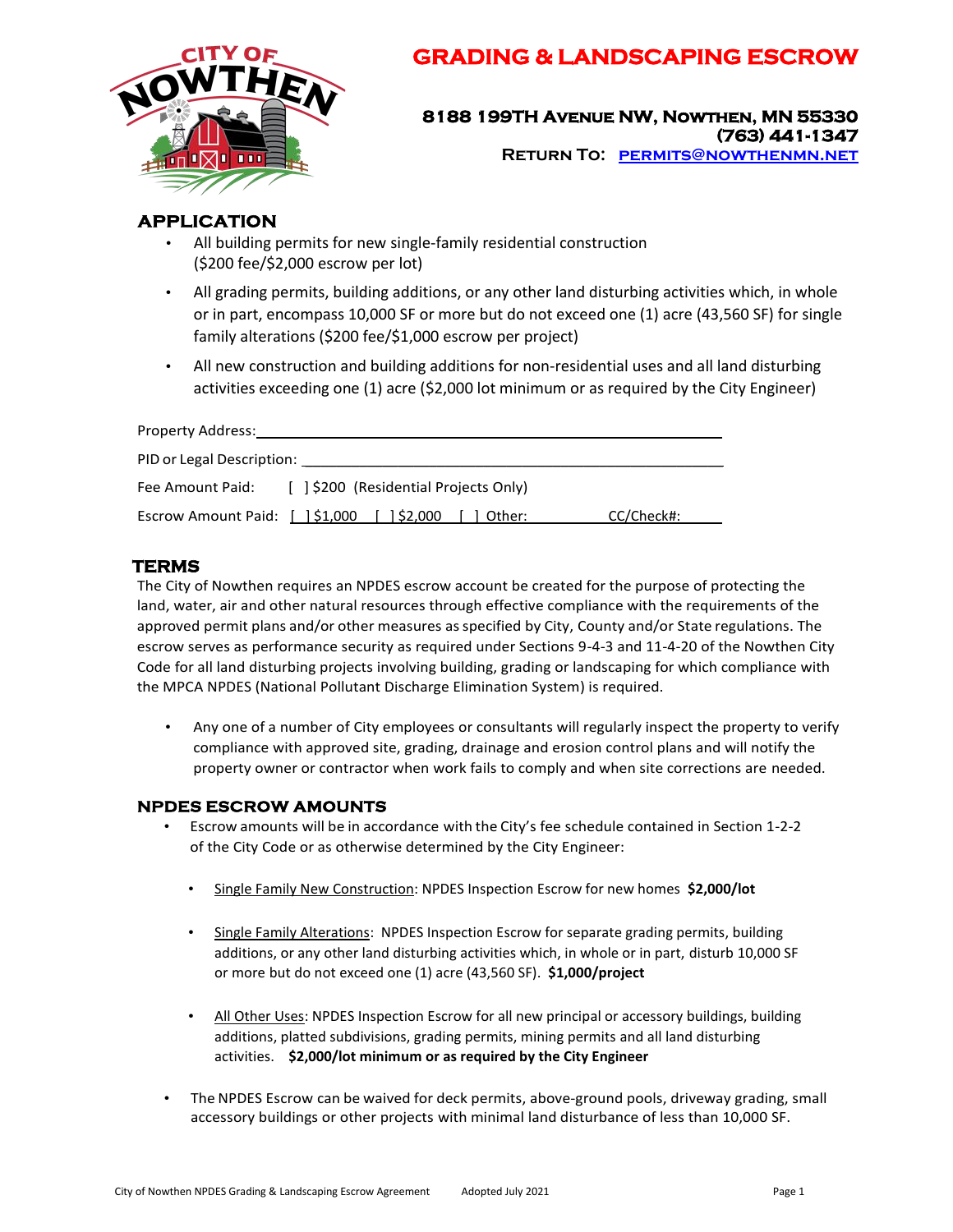

# **GRADING & LANDSCAPING ESCROW**

**8188 199TH Avenue NW, Nowthen, MN 55330 (763) 441-1347 Return To: [permits@nowthenmn.net](mailto:permits@nowthenmn.net)**

## **APPLICATION**

- All building permits for new single-family residential construction (\$200 fee/\$2,000 escrow per lot)
- All grading permits, building additions, or any other land disturbing activities which, in whole or in part, encompass 10,000 SF or more but do not exceed one (1) acre (43,560 SF) for single family alterations (\$200 fee/\$1,000 escrow per project)
- All new construction and building additions for non-residential uses and all land disturbing activities exceeding one (1) acre (\$2,000 lot minimum or as required by the City Engineer)

| Property Address:                                |                                                         |            |  |
|--------------------------------------------------|---------------------------------------------------------|------------|--|
| PID or Legal Description: <u>_______________</u> |                                                         |            |  |
| Fee Amount Paid:                                 | [ ] \$200 (Residential Projects Only)                   |            |  |
|                                                  | Escrow Amount Paid: [ ] \$1,000 [ ] \$2,000<br>1 Other: | CC/Check#: |  |

## **TERMS**

The City of Nowthen requires an NPDES escrow account be created for the purpose of protecting the land, water, air and other natural resources through effective compliance with the requirements of the approved permit plans and/or other measures asspecified by City, County and/or State regulations. The escrow serves as performance security as required under Sections 9-4-3 and 11-4-20 of the Nowthen City Code for all land disturbing projects involving building, grading or landscaping for which compliance with the MPCA NPDES (National Pollutant Discharge Elimination System) is required.

• Any one of a number of City employees or consultants will regularly inspect the property to verify compliance with approved site, grading, drainage and erosion control plans and will notify the property owner or contractor when work fails to comply and when site corrections are needed.

### **NPDES ESCROW AMOUNTS**

- Escrow amounts will be in accordance with the City's fee schedule contained in Section 1-2-2 of the City Code or as otherwise determined by the City Engineer:
	- Single Family New Construction: NPDES Inspection Escrow for new homes **\$2,000/lot**
	- Single Family Alterations: NPDES Inspection Escrow for separate grading permits, building additions, or any other land disturbing activities which, in whole or in part, disturb 10,000 SF or more but do not exceed one (1) acre (43,560 SF). **\$1,000/project**
	- All Other Uses: NPDES Inspection Escrow for all new principal or accessory buildings, building additions, platted subdivisions, grading permits, mining permits and all land disturbing activities. **\$2,000/lot minimum or as required by the City Engineer**
- The NPDES Escrow can be waived for deck permits, above-ground pools, driveway grading, small accessory buildings or other projects with minimal land disturbance of less than 10,000 SF.